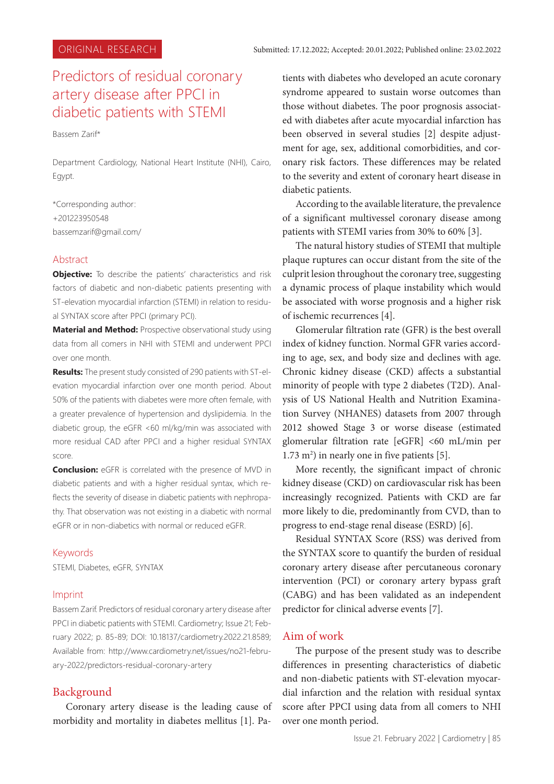# Predictors of residual coronary artery disease after PPCI in diabetic patients with STEMI

Bassem Zarif\*

Department Cardiology, National Heart Institute (NHI), Cairo, Egypt.

\*Corresponding author: +201223950548 bassemzarif@gmail.com/

### Abstract

**Objective:** To describe the patients' characteristics and risk factors of diabetic and non-diabetic patients presenting with ST-elevation myocardial infarction (STEMI) in relation to residual SYNTAX score after PPCI (primary PCI).

**Material and Method:** Prospective observational study using data from all comers in NHI with STEMI and underwent PPCI over one month.

**Results:** The present study consisted of 290 patients with ST-elevation myocardial infarction over one month period. About 50% of the patients with diabetes were more often female, with a greater prevalence of hypertension and dyslipidemia. In the diabetic group, the eGFR <60 ml/kg/min was associated with more residual CAD after PPCI and a higher residual SYNTAX score.

**Conclusion:** eGFR is correlated with the presence of MVD in diabetic patients and with a higher residual syntax, which reflects the severity of disease in diabetic patients with nephropathy. That observation was not existing in a diabetic with normal eGFR or in non-diabetics with normal or reduced eGFR.

#### Keywords

STEMI, Diabetes, eGFR, SYNTAX

#### Imprint

Bassem Zarif. Predictors of residual coronary artery disease after PPCI in diabetic patients with STEMI. Cardiometry; Issue 21; February 2022; p. 85-89; DOI: 10.18137/cardiometry.2022.21.8589; Available from: http://www.cardiometry.net/issues/no21-february-2022/predictors-residual-coronary-artery

## Background

Coronary artery disease is the leading cause of morbidity and mortality in diabetes mellitus [1]. Patients with diabetes who developed an acute coronary syndrome appeared to sustain worse outcomes than those without diabetes. The poor prognosis associated with diabetes after acute myocardial infarction has been observed in several studies [2] despite adjustment for age, sex, additional comorbidities, and coronary risk factors. These differences may be related to the severity and extent of coronary heart disease in diabetic patients.

According to the available literature, the prevalence of a significant multivessel coronary disease among patients with STEMI varies from 30% to 60% [3].

The natural history studies of STEMI that multiple plaque ruptures can occur distant from the site of the culprit lesion throughout the coronary tree, suggesting a dynamic process of plaque instability which would be associated with worse prognosis and a higher risk of ischemic recurrences [4].

Glomerular filtration rate (GFR) is the best overall index of kidney function. Normal GFR varies according to age, sex, and body size and declines with age. Chronic kidney disease (CKD) affects a substantial minority of people with type 2 diabetes (T2D). Analysis of US National Health and Nutrition Examination Survey (NHANES) datasets from 2007 through 2012 showed Stage 3 or worse disease (estimated glomerular filtration rate [eGFR] <60 mL/min per 1.73 m<sup>2</sup>) in nearly one in five patients [5].

More recently, the significant impact of chronic kidney disease (CKD) on cardiovascular risk has been increasingly recognized. Patients with CKD are far more likely to die, predominantly from CVD, than to progress to end-stage renal disease (ESRD) [6].

Residual SYNTAX Score (RSS) was derived from the SYNTAX score to quantify the burden of residual coronary artery disease after percutaneous coronary intervention (PCI) or coronary artery bypass graft (CABG) and has been validated as an independent predictor for clinical adverse events [7].

# Aim of work

The purpose of the present study was to describe differences in presenting characteristics of diabetic and non-diabetic patients with ST-elevation myocardial infarction and the relation with residual syntax score after PPCI using data from all comers to NHI over one month period.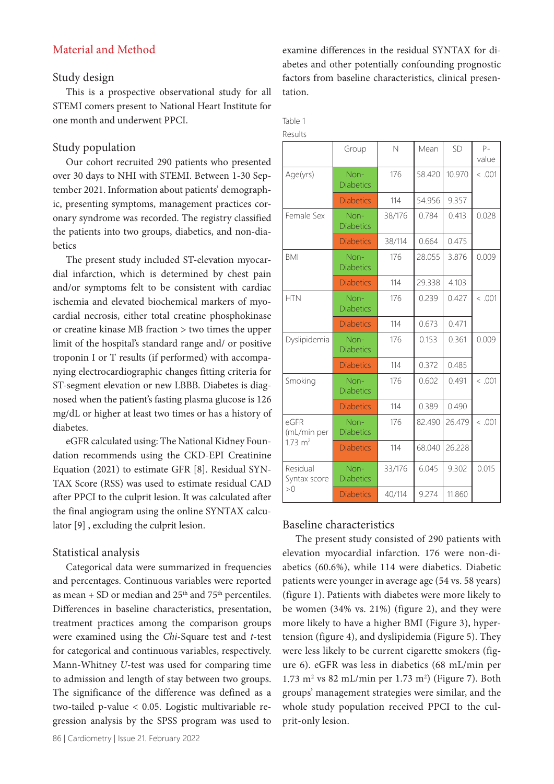# Material and Method

## Study design

This is a prospective observational study for all STEMI comers present to National Heart Institute for one month and underwent PPCI.

# Study population

Our cohort recruited 290 patients who presented over 30 days to NHI with STEMI. Between 1-30 September 2021. Information about patients' demographic, presenting symptoms, management practices coronary syndrome was recorded. The registry classified the patients into two groups, diabetics, and non-diabetics

The present study included ST-elevation myocardial infarction, which is determined by chest pain and/or symptoms felt to be consistent with cardiac ischemia and elevated biochemical markers of myocardial necrosis, either total creatine phosphokinase or creatine kinase MB fraction > two times the upper limit of the hospital's standard range and/ or positive troponin I or T results (if performed) with accompanying electrocardiographic changes fitting criteria for ST-segment elevation or new LBBB. Diabetes is diagnosed when the patient's fasting plasma glucose is 126 mg/dL or higher at least two times or has a history of diabetes.

eGFR calculated using: The National Kidney Foundation recommends using the CKD-EPI Creatinine Equation (2021) to estimate GFR [8]. Residual SYN-TAX Score (RSS) was used to estimate residual CAD after PPCI to the culprit lesion. It was calculated after the final angiogram using the online SYNTAX calculator [9] , excluding the culprit lesion.

# Statistical analysis

Categorical data were summarized in frequencies and percentages. Continuous variables were reported as mean + SD or median and  $25<sup>th</sup>$  and  $75<sup>th</sup>$  percentiles. Differences in baseline characteristics, presentation, treatment practices among the comparison groups were examined using the *Chi*-Square test and *t*-test for categorical and continuous variables, respectively. Mann-Whitney *U*-test was used for comparing time to admission and length of stay between two groups. The significance of the difference was defined as a two-tailed p-value < 0.05. Logistic multivariable regression analysis by the SPSS program was used to

examine differences in the residual SYNTAX for diabetes and other potentially confounding prognostic factors from baseline characteristics, clinical presentation.

Table 1 Results

|                                           | Group                    | $\mathsf{N}$ | Mean   | SD     | $P -$<br>value |
|-------------------------------------------|--------------------------|--------------|--------|--------|----------------|
| Age(yrs)                                  | Non-<br><b>Diabetics</b> | 176          | 58.420 | 10.970 | < .001         |
|                                           | <b>Diabetics</b>         | 114          | 54.956 | 9.357  |                |
| Female Sex                                | Non-<br><b>Diabetics</b> | 38/176       | 0.784  | 0.413  | 0.028          |
|                                           | <b>Diabetics</b>         | 38/114       | 0.664  | 0.475  |                |
| <b>BMI</b>                                | Non-<br><b>Diabetics</b> | 176          | 28.055 | 3.876  | 0.009          |
|                                           | <b>Diabetics</b>         | 114          | 29.338 | 4.103  |                |
| <b>HTN</b>                                | Non-<br><b>Diabetics</b> | 176          | 0.239  | 0.427  | < .001         |
|                                           | <b>Diabetics</b>         | 114          | 0.673  | 0.471  |                |
| Dyslipidemia                              | Non-<br><b>Diabetics</b> | 176          | 0.153  | 0.361  | 0.009          |
|                                           | <b>Diabetics</b>         | 114          | 0.372  | 0.485  |                |
| Smoking                                   | Non-<br><b>Diabetics</b> | 176          | 0.602  | 0.491  | < .001         |
|                                           | <b>Diabetics</b>         | 114          | 0.389  | 0.490  |                |
| eGFR<br>(mL/min per<br>$1.73 \text{ m}^2$ | Non-<br><b>Diabetics</b> | 176          | 82.490 | 26.479 | < .001         |
|                                           | <b>Diabetics</b>         | 114          | 68.040 | 26.228 |                |
| Residual<br>Syntax score<br>>0            | Non-<br><b>Diabetics</b> | 33/176       | 6.045  | 9.302  | 0.015          |
|                                           | <b>Diabetics</b>         | 40/114       | 9.274  | 11.860 |                |

# Baseline characteristics

The present study consisted of 290 patients with elevation myocardial infarction. 176 were non-diabetics (60.6%), while 114 were diabetics. Diabetic patients were younger in average age (54 vs. 58 years) (figure 1). Patients with diabetes were more likely to be women (34% vs. 21%) (figure 2), and they were more likely to have a higher BMI (Figure 3), hypertension (figure 4), and dyslipidemia (Figure 5). They were less likely to be current cigarette smokers (figure 6). eGFR was less in diabetics (68 mL/min per  $1.73 \text{ m}^2$  vs 82 mL/min per  $1.73 \text{ m}^2$ ) (Figure 7). Both groups' management strategies were similar, and the whole study population received PPCI to the culprit-only lesion.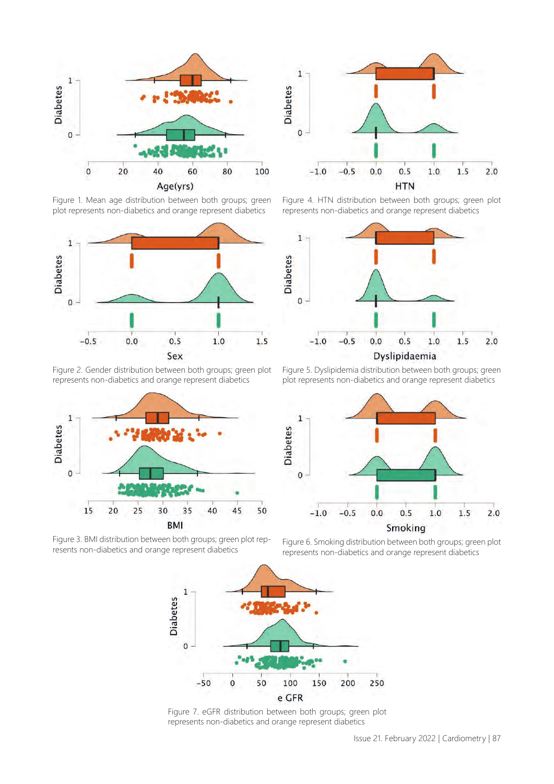

Figure 1. Mean age distribution between both groups; green plot represents non-diabetics and orange represent diabetics



Figure 2. Gender distribution between both groups; green plot represents non-diabetics and orange represent diabetics



Figure 3. BMI distribution between both groups; green plot represents non-diabetics and orange represent diabetics



Figure 4. HTN distribution between both groups; green plot represents non-diabetics and orange represent diabetics



Figure 5. Dyslipidemia distribution between both groups; green plot represents non-diabetics and orange represent diabetics



Figure 6. Smoking distribution between both groups; green plot represents non-diabetics and orange represent diabetics



Figure 7. eGFR distribution between both groups; green plot represents non-diabetics and orange represent diabetics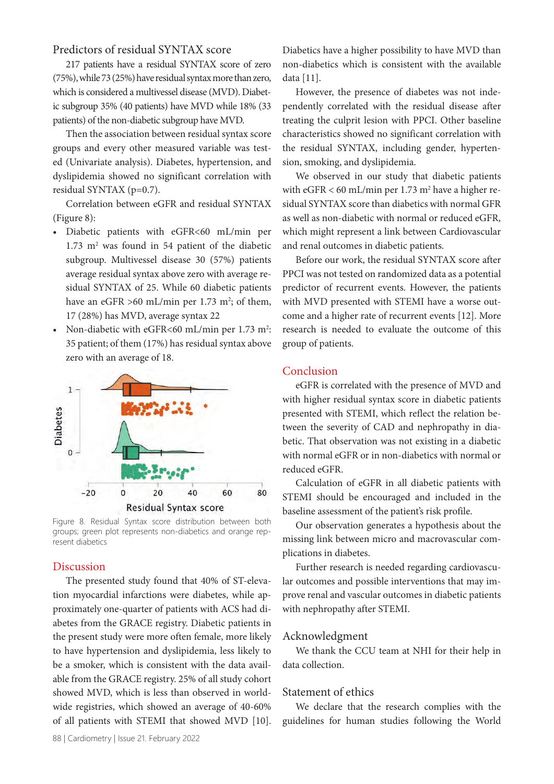## Predictors of residual SYNTAX score

217 patients have a residual SYNTAX score of zero (75%), while 73 (25%) have residual syntax more than zero, which is considered a multivessel disease (MVD). Diabetic subgroup 35% (40 patients) have MVD while 18% (33 patients) of the non-diabetic subgroup have MVD.

Then the association between residual syntax score groups and every other measured variable was tested (Univariate analysis). Diabetes, hypertension, and dyslipidemia showed no significant correlation with residual SYNTAX (p=0.7).

Correlation between eGFR and residual SYNTAX (Figure 8):

- Diabetic patients with eGFR<60 mL/min per  $1.73$  m<sup>2</sup> was found in 54 patient of the diabetic subgroup. Multivessel disease 30 (57%) patients average residual syntax above zero with average residual SYNTAX of 25. While 60 diabetic patients have an eGFR  $>60$  mL/min per 1.73 m<sup>2</sup>; of them, 17 (28%) has MVD, average syntax 22
- Non-diabetic with eGFR<60 mL/min per  $1.73 \text{ m}^2$ : 35 patient; of them (17%) has residual syntax above zero with an average of 18.



Figure 8. Residual Syntax score distribution between both groups; green plot represents non-diabetics and orange represent diabetics

# Discussion

The presented study found that 40% of ST-elevation myocardial infarctions were diabetes, while approximately one-quarter of patients with ACS had diabetes from the GRACE registry. Diabetic patients in the present study were more often female, more likely to have hypertension and dyslipidemia, less likely to be a smoker, which is consistent with the data available from the GRACE registry. 25% of all study cohort showed MVD, which is less than observed in worldwide registries, which showed an average of 40-60% of all patients with STEMI that showed MVD [10]. Diabetics have a higher possibility to have MVD than non-diabetics which is consistent with the available data [11].

However, the presence of diabetes was not independently correlated with the residual disease after treating the culprit lesion with PPCI. Other baseline characteristics showed no significant correlation with the residual SYNTAX, including gender, hypertension, smoking, and dyslipidemia.

We observed in our study that diabetic patients with  $eGFR < 60$  mL/min per 1.73 m<sup>2</sup> have a higher residual SYNTAX score than diabetics with normal GFR as well as non-diabetic with normal or reduced eGFR, which might represent a link between Cardiovascular and renal outcomes in diabetic patients.

Before our work, the residual SYNTAX score after PPCI was not tested on randomized data as a potential predictor of recurrent events. However, the patients with MVD presented with STEMI have a worse outcome and a higher rate of recurrent events [12]. More research is needed to evaluate the outcome of this group of patients.

#### Conclusion

eGFR is correlated with the presence of MVD and with higher residual syntax score in diabetic patients presented with STEMI, which reflect the relation between the severity of CAD and nephropathy in diabetic. That observation was not existing in a diabetic with normal eGFR or in non-diabetics with normal or reduced eGFR.

Calculation of eGFR in all diabetic patients with STEMI should be encouraged and included in the baseline assessment of the patient's risk profile.

Our observation generates a hypothesis about the missing link between micro and macrovascular complications in diabetes.

Further research is needed regarding cardiovascular outcomes and possible interventions that may improve renal and vascular outcomes in diabetic patients with nephropathy after STEMI.

#### Acknowledgment

We thank the CCU team at NHI for their help in data collection.

# Statement of ethics

We declare that the research complies with the guidelines for human studies following the World